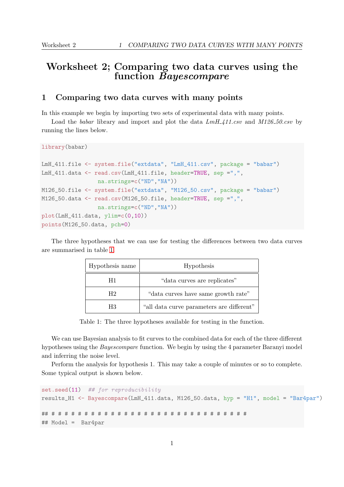## Worksheet 2; Comparing two data curves using the function Bayescompare

## 1 Comparing two data curves with many points

In this example we begin by importing two sets of experimental data with many points.

Load the babar library and import and plot the data  $LmH_411.csv$  and  $M126-50.csv$  by running the lines below.

```
library(babar)
```

```
LmH_411.file <- system.file("extdata", "LmH_411.csv", package = "babar")
LmH_411.data <- read.csv(LmH_411.file, header=TRUE, sep =",",
                 na.strings=c("ND","NA"))
M126_50.file <- system.file("extdata", "M126_50.csv", package = "babar")
M126_50.data <- read.csv(M126_50.file, header=TRUE, sep =",",
                 na.strings=c("ND","NA"))
plot(LmH_411.data, ylim=c(0,10))
points(M126_50.data, pch=0)
```
The three hypotheses that we can use for testing the differences between two data curves are summarised in table [1.](#page-0-0)

| Hypothesis name | Hypothesis                                |
|-----------------|-------------------------------------------|
| H1              | "data curves are replicates"              |
| H2              | "data curves have same growth rate"       |
| H3              | "all data curve parameters are different" |

<span id="page-0-0"></span>Table 1: The three hypotheses available for testing in the function.

We can use Bayesian analysis to fit curves to the combined data for each of the three different hypotheses using the Bayescompare function. We begin by using the 4 parameter Baranyi model and inferring the noise level.

Perform the analysis for hypothesis 1. This may take a couple of minutes or so to complete. Some typical output is shown below.

```
set.seed(11) ## for reproducibility
results_H1 <- Bayescompare(LmH_411.data, M126_50.data, hyp = "H1", model = "Bar4par")
## # # # # # # # # # # # # # # # # # # # # # # # # # # # # # #
## Model = Bar4par
```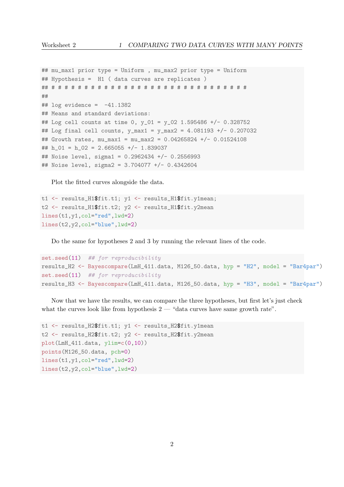```
## mu_max1 prior type = Uniform , mu_max2 prior type = Uniform
## Hypothesis = H1 ( data curves are replicates )
## # # # # # # # # # # # # # # # # # # # # # # # # # # # # # #
##
\## log evidence = -41.1382## Means and standard deviations:
## Log cell counts at time 0, y_01 = y_02 1.595486 +/- 0.328752
## Log final cell counts, y_max1 = y_max2 = 4.081193 +/- 0.207032
## Growth rates, mu_max1 = mu_max2 = 0.04265824 +/- 0.01524108
## h_01 = h_02 = 2.665055 +/- 1.839037
## Noise level, sigma1 = 0.2962434 +/- 0.2556993## Noise level, sigma2 = 3.704077 +/- 0.4342604
```
Plot the fitted curves alongside the data.

```
t1 <- results_H1$fit.t1; y1 <- results_H1$fit.y1mean;
t2 <- results_H1$fit.t2; y2 <- results_H1$fit.y2mean
lines(t1,y1,col="red",lwd=2)
lines(t2,y2,col="blue",lwd=2)
```
Do the same for hypotheses 2 and 3 by running the relevant lines of the code.

```
set.seed(11) ## for reproducibility
results_H2 <- Bayescompare(LmH_411.data, M126_50.data, hyp = "H2", model = "Bar4par")
set.seed(11) ## for reproducibility
results_H3 <- Bayescompare(LmH_411.data, M126_50.data, hyp = "H3", model = "Bar4par")
```
Now that we have the results, we can compare the three hypotheses, but first let's just check what the curves look like from hypothesis  $2 - 4$  data curves have same growth rate".

```
t1 <- results_H2$fit.t1; y1 <- results_H2$fit.y1mean
t2 <- results_H2$fit.t2; y2 <- results_H2$fit.y2mean
plot(LmH_411.data, ylim=c(0,10))
points(M126_50.data, pch=0)
lines(t1,y1,col="red",lwd=2)
lines(t2,y2,col="blue",lwd=2)
```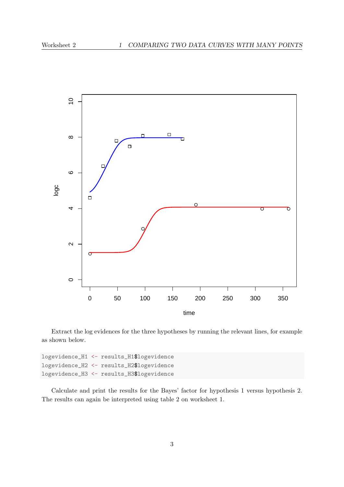

Extract the log evidences for the three hypotheses by running the relevant lines, for example as shown below.

|  | logevidence_H1 <- results_H1\$logevidence |
|--|-------------------------------------------|
|  | logevidence_H2 <- results_H2\$logevidence |
|  | logevidence_H3 <- results_H3\$logevidence |

Calculate and print the results for the Bayes' factor for hypothesis 1 versus hypothesis 2. The results can again be interpreted using table 2 on worksheet 1.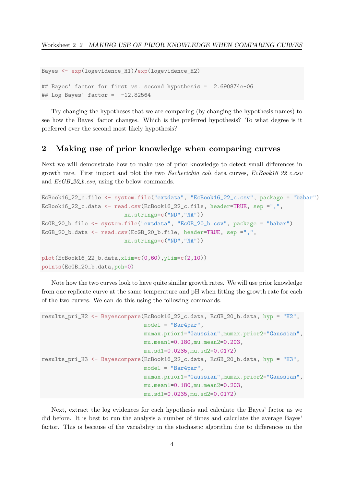```
Bayes <- exp(logevidence_H1)/exp(logevidence_H2)
## Bayes' factor for first vs. second hypothesis = 2.690874e-06
\## Log Bayes' factor = -12.82564
```
Try changing the hypotheses that we are comparing (by changing the hypothesis names) to see how the Bayes' factor changes. Which is the preferred hypothesis? To what degree is it preferred over the second most likely hypothesis?

## 2 Making use of prior knowledge when comparing curves

Next we will demonstrate how to make use of prior knowledge to detect small differences in growth rate. First import and plot the two *Escherichia coli* data curves,  $EcBook16.22.c.csv$ and  $EcGB_20_b.csv$ , using the below commands.

```
EcBook16_22_c.file <- system.file("extdata", "EcBook16_22_c.csv", package = "babar")
EcBook16_22_c.data <- read.csv(EcBook16_22_c.file, header=TRUE, sep =",",
                         na.strings=c("ND","NA"))
EcGB_20_b.file <- system.file("extdata", "EcGB_20_b.csv", package = "babar")
EcGB_20_b.data <- read.csv(EcGB_20_b.file, header=TRUE, sep =",",
                         na.strings=c("ND","NA"))
plot(EcBook16_22_b.data,xlim=c(0,60),ylim=c(2,10))
points(EcGB_20_b.data,pch=0)
```
Note how the two curves look to have quite similar growth rates. We will use prior knowledge from one replicate curve at the same temperature and pH when fitting the growth rate for each of the two curves. We can do this using the following commands.

```
results_pri_H2 <- Bayescompare(EcBook16_22_c.data, EcGB_20_b.data, hyp = "H2",
                               model = "Bar4par",
                               mumax.prior1="Gaussian",mumax.prior2="Gaussian",
                               mu.mean1=0.180,mu.mean2=0.203,
                               mu.sd1=0.0235,mu.sd2=0.0172)
results_pri_H3 <- Bayescompare(EcBook16_22_c.data, EcGB_20_b.data, hyp = "H3",
                               model = "Bar4par",
                               mumax.prior1="Gaussian",mumax.prior2="Gaussian",
                               mu.mean1=0.180,mu.mean2=0.203,
                               mu.sd1=0.0235,mu.sd2=0.0172)
```
Next, extract the log evidences for each hypothesis and calculate the Bayes' factor as we did before. It is best to run the analysis a number of times and calculate the average Bayes' factor. This is because of the variability in the stochastic algorithm due to differences in the